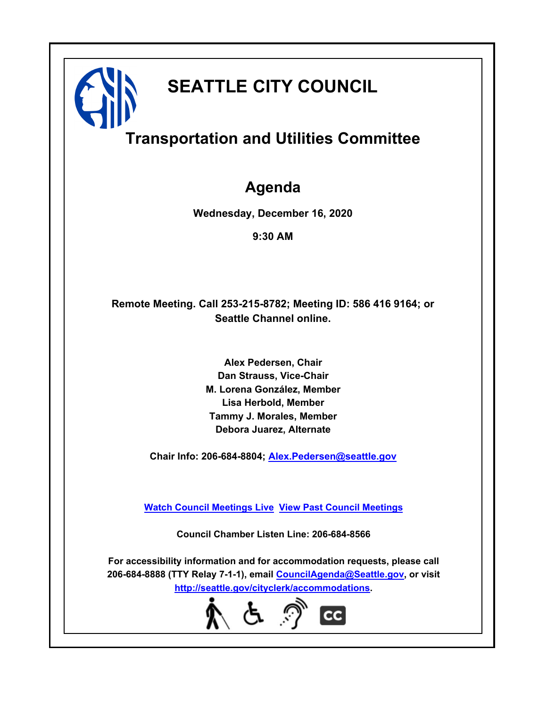

# **Transportation and Utilities Committee**

### **Agenda**

**Wednesday, December 16, 2020**

**9:30 AM**

### **Remote Meeting. Call 253-215-8782; Meeting ID: 586 416 9164; or Seattle Channel online.**

**Alex Pedersen, Chair Dan Strauss, Vice-Chair M. Lorena González, Member Lisa Herbold, Member Tammy J. Morales, Member Debora Juarez, Alternate**

**Chair Info: 206-684-8804; [Alex.Pedersen@seattle.gov](mailto: Alex.Pedersen@seattle.gov)**

**[Watch Council Meetings Live](http://www.seattle.gov/council/councillive.htm) [View Past Council Meetings](http://www.seattlechannel.org/videos/browseVideos.asp?topic=council)**

**Council Chamber Listen Line: 206-684-8566**

**For accessibility information and for accommodation requests, please call 206-684-8888 (TTY Relay 7-1-1), email [CouncilAgenda@Seattle.gov](mailto: CouncilAgenda@Seattle.gov), or visit <http://seattle.gov/cityclerk/accommodations>.**

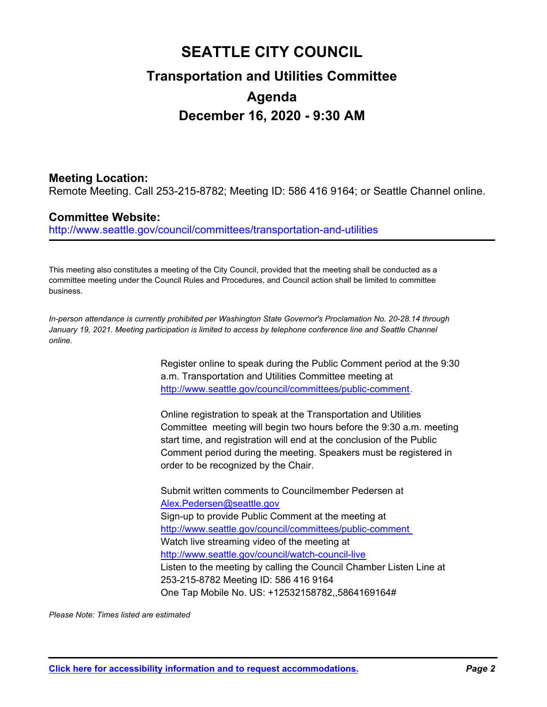## **SEATTLE CITY COUNCIL Transportation and Utilities Committee Agenda December 16, 2020 - 9:30 AM**

#### **Meeting Location:**

Remote Meeting. Call 253-215-8782; Meeting ID: 586 416 9164; or Seattle Channel online.

#### **Committee Website:**

http://www.seattle.gov/council/committees/transportation-and-utilities

This meeting also constitutes a meeting of the City Council, provided that the meeting shall be conducted as a committee meeting under the Council Rules and Procedures, and Council action shall be limited to committee business.

*In-person attendance is currently prohibited per Washington State Governor's Proclamation No. 20-28.14 through*  January 19, 2021. Meeting participation is limited to access by telephone conference line and Seattle Channel *online.*

> Register online to speak during the Public Comment period at the 9:30 a.m. Transportation and Utilities Committee meeting at http://www.seattle.gov/council/committees/public-comment.

> Online registration to speak at the Transportation and Utilities Committee meeting will begin two hours before the 9:30 a.m. meeting start time, and registration will end at the conclusion of the Public Comment period during the meeting. Speakers must be registered in order to be recognized by the Chair.

Submit written comments to Councilmember Pedersen at Alex.Pedersen@seattle.gov Sign-up to provide Public Comment at the meeting at http://www.seattle.gov/council/committees/public-comment Watch live streaming video of the meeting at http://www.seattle.gov/council/watch-council-live Listen to the meeting by calling the Council Chamber Listen Line at 253-215-8782 Meeting ID: 586 416 9164 One Tap Mobile No. US: +12532158782,,5864169164#

*Please Note: Times listed are estimated*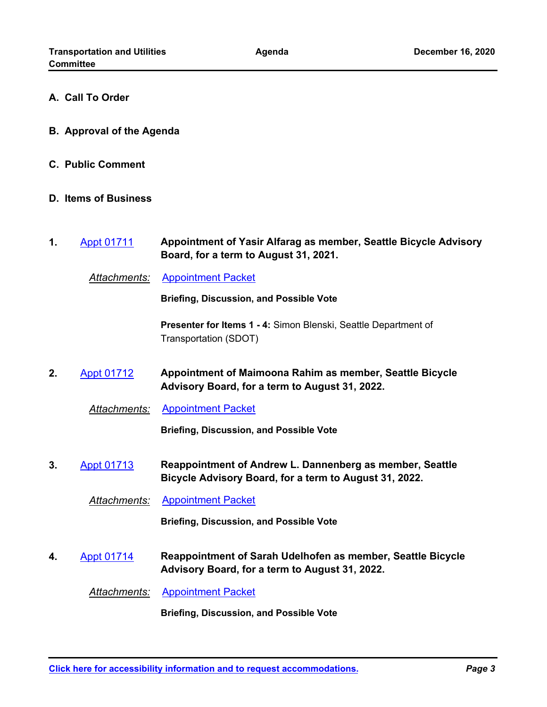- **A. Call To Order**
- **B. Approval of the Agenda**
- **C. Public Comment**
- **D. Items of Business**
- **Appointment of Yasir Alfarag as member, Seattle Bicycle Advisory Board, for a term to August 31, 2021. 1.** [Appt 01711](http://seattle.legistar.com/gateway.aspx?m=l&id=/matter.aspx?key=11205)

*Attachments:* [Appointment Packet](http://seattle.legistar.com/gateway.aspx?M=F&ID=0cc28c6d-7aca-40ba-aae2-b35c23c39654.pdf)

**Briefing, Discussion, and Possible Vote**

**Presenter for Items 1 - 4:** Simon Blenski, Seattle Department of Transportation (SDOT)

**Appointment of Maimoona Rahim as member, Seattle Bicycle Advisory Board, for a term to August 31, 2022. 2.** [Appt 01712](http://seattle.legistar.com/gateway.aspx?m=l&id=/matter.aspx?key=11207)

*Attachments:* [Appointment Packet](http://seattle.legistar.com/gateway.aspx?M=F&ID=44825fa8-b985-42a8-9ec0-3e5797fbb404.pdf)

**Briefing, Discussion, and Possible Vote**

**Reappointment of Andrew L. Dannenberg as member, Seattle Bicycle Advisory Board, for a term to August 31, 2022. 3.** [Appt 01713](http://seattle.legistar.com/gateway.aspx?m=l&id=/matter.aspx?key=11206)

*Attachments:* [Appointment Packet](http://seattle.legistar.com/gateway.aspx?M=F&ID=8bde05b7-b49a-471e-b551-ef3cf71f7eca.pdf)

**Briefing, Discussion, and Possible Vote**

**Reappointment of Sarah Udelhofen as member, Seattle Bicycle Advisory Board, for a term to August 31, 2022. 4.** [Appt 01714](http://seattle.legistar.com/gateway.aspx?m=l&id=/matter.aspx?key=11208)

*Attachments:* [Appointment Packet](http://seattle.legistar.com/gateway.aspx?M=F&ID=5288f6cc-af16-46c0-ad71-5274adb90461.pdf)

**Briefing, Discussion, and Possible Vote**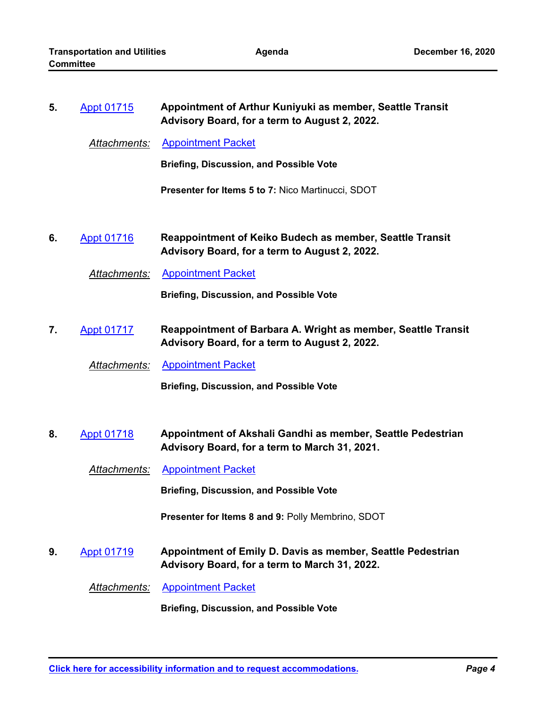| 5. | <b>Appt 01715</b>   | Appointment of Arthur Kuniyuki as member, Seattle Transit<br>Advisory Board, for a term to August 2, 2022.       |
|----|---------------------|------------------------------------------------------------------------------------------------------------------|
|    | <u>Attachments:</u> | <b>Appointment Packet</b>                                                                                        |
|    |                     | <b>Briefing, Discussion, and Possible Vote</b>                                                                   |
|    |                     | <b>Presenter for Items 5 to 7: Nico Martinucci, SDOT</b>                                                         |
| 6. | <b>Appt 01716</b>   | <b>Reappointment of Keiko Budech as member, Seattle Transit</b><br>Advisory Board, for a term to August 2, 2022. |
|    | Attachments:        | <b>Appointment Packet</b>                                                                                        |
|    |                     | <b>Briefing, Discussion, and Possible Vote</b>                                                                   |
| 7. | <b>Appt 01717</b>   | Reappointment of Barbara A. Wright as member, Seattle Transit<br>Advisory Board, for a term to August 2, 2022.   |
|    | Attachments:        | <b>Appointment Packet</b>                                                                                        |
|    |                     | <b>Briefing, Discussion, and Possible Vote</b>                                                                   |
|    |                     |                                                                                                                  |
| 8. | <b>Appt 01718</b>   | Appointment of Akshali Gandhi as member, Seattle Pedestrian<br>Advisory Board, for a term to March 31, 2021.     |
|    | Attachments:        | <b>Appointment Packet</b>                                                                                        |
|    |                     | <b>Briefing, Discussion, and Possible Vote</b>                                                                   |
|    |                     | Presenter for Items 8 and 9: Polly Membrino, SDOT                                                                |
| 9. | <b>Appt 01719</b>   | Appointment of Emily D. Davis as member, Seattle Pedestrian<br>Advisory Board, for a term to March 31, 2022.     |
|    | Attachments:        | <b>Appointment Packet</b>                                                                                        |
|    |                     | <b>Briefing, Discussion, and Possible Vote</b>                                                                   |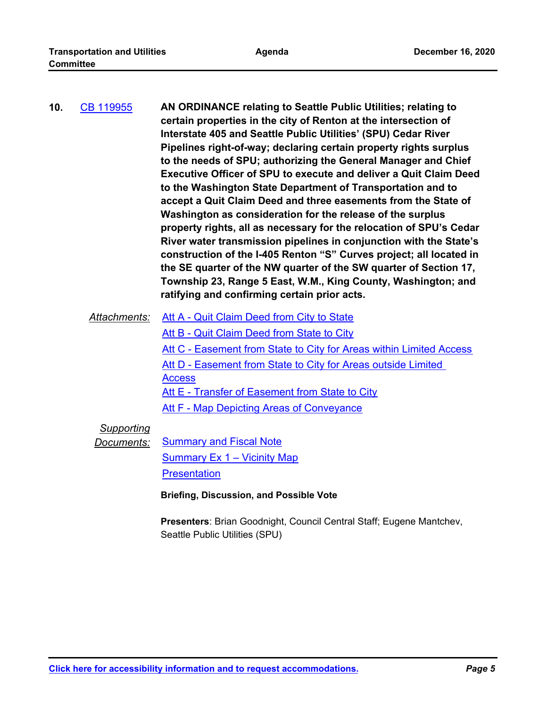|              | to the needs of SPU; authorizing the General Manager and Chief<br><b>Executive Officer of SPU to execute and deliver a Quit Claim Deed</b><br>to the Washington State Department of Transportation and to<br>accept a Quit Claim Deed and three easements from the State of<br>Washington as consideration for the release of the surplus<br>property rights, all as necessary for the relocation of SPU's Cedar<br>River water transmission pipelines in conjunction with the State's<br>construction of the I-405 Renton "S" Curves project; all located in<br>the SE quarter of the NW quarter of the SW quarter of Section 17,<br>Township 23, Range 5 East, W.M., King County, Washington; and<br>ratifying and confirming certain prior acts. |
|--------------|-----------------------------------------------------------------------------------------------------------------------------------------------------------------------------------------------------------------------------------------------------------------------------------------------------------------------------------------------------------------------------------------------------------------------------------------------------------------------------------------------------------------------------------------------------------------------------------------------------------------------------------------------------------------------------------------------------------------------------------------------------|
| Attachments: | Att A - Quit Claim Deed from City to State                                                                                                                                                                                                                                                                                                                                                                                                                                                                                                                                                                                                                                                                                                          |

[Att B - Quit Claim Deed from State to City](http://seattle.legistar.com/gateway.aspx?M=F&ID=9ed983b2-9615-4109-8a76-e16565a22e7b.docx) [Att C - Easement from State to City for Areas within Limited Access](http://seattle.legistar.com/gateway.aspx?M=F&ID=1eefaf28-7f14-4f5e-ab35-0d592563f4a7.docx) Att D - Easement from State to City for Areas outside Limited **Access** [Att E - Transfer of Easement from State to City](http://seattle.legistar.com/gateway.aspx?M=F&ID=3d716f95-42d6-4612-ba7e-965e8aa8ee97.docx) **[Att F - Map Depicting Areas of Conveyance](http://seattle.legistar.com/gateway.aspx?M=F&ID=ef74758a-525c-4102-8889-22221e1c420f.docx)** 

#### *Supporting*

*Documents:* [Summary and Fiscal Note](http://seattle.legistar.com/gateway.aspx?M=F&ID=22d798a2-b2c3-497d-af0e-9f429d4aa65a.docx) [Summary Ex 1 – Vicinity Map](http://seattle.legistar.com/gateway.aspx?M=F&ID=177baf46-c8c4-4b97-b12e-71d6d33903da.docx)

**[Presentation](http://seattle.legistar.com/gateway.aspx?M=F&ID=5c65007c-3651-4832-b10a-88a70d11f94e.pdf)** 

**Briefing, Discussion, and Possible Vote**

**Presenters**: Brian Goodnight, Council Central Staff; Eugene Mantchev, Seattle Public Utilities (SPU)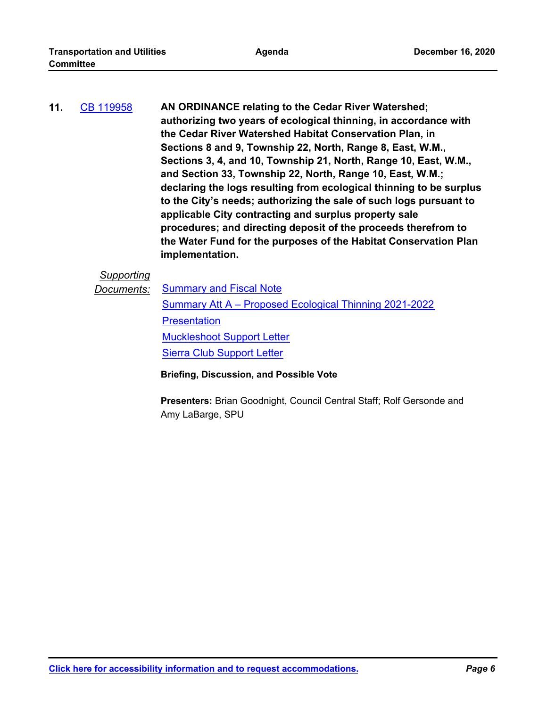| 11. | CB 119958 | AN ORDINANCE relating to the Cedar River Watershed;                 |
|-----|-----------|---------------------------------------------------------------------|
|     |           | authorizing two years of ecological thinning, in accordance with    |
|     |           | the Cedar River Watershed Habitat Conservation Plan, in             |
|     |           | Sections 8 and 9, Township 22, North, Range 8, East, W.M.,          |
|     |           | Sections 3, 4, and 10, Township 21, North, Range 10, East, W.M.,    |
|     |           | and Section 33, Township 22, North, Range 10, East, W.M.;           |
|     |           | declaring the logs resulting from ecological thinning to be surplus |
|     |           | to the City's needs; authorizing the sale of such logs pursuant to  |
|     |           | applicable City contracting and surplus property sale               |
|     |           | procedures; and directing deposit of the proceeds therefrom to      |
|     |           | the Water Fund for the purposes of the Habitat Conservation Plan    |
|     |           | implementation.                                                     |

#### *Supporting*

**Documents:** [Summary and Fiscal Note](http://seattle.legistar.com/gateway.aspx?M=F&ID=6a7f68b0-579f-4a4c-b841-d091f0517042.docx)

[Summary Att A – Proposed Ecological Thinning 2021-2022](http://seattle.legistar.com/gateway.aspx?M=F&ID=9fe1db06-7848-4135-9099-99031d1e3b54.pdf) **[Presentation](http://seattle.legistar.com/gateway.aspx?M=F&ID=953fb061-96ab-4326-bbb1-c23beec3c9ad.pdf)** [Muckleshoot Support Letter](http://seattle.legistar.com/gateway.aspx?M=F&ID=fbaa8577-f307-4e09-ae8a-bc5db46eae78.pdf) [Sierra Club Support Letter](http://seattle.legistar.com/gateway.aspx?M=F&ID=0e4fae8f-403d-42fa-95f3-5dd61e3444f9.pdf)

**Briefing, Discussion, and Possible Vote**

**Presenters:** Brian Goodnight, Council Central Staff; Rolf Gersonde and Amy LaBarge, SPU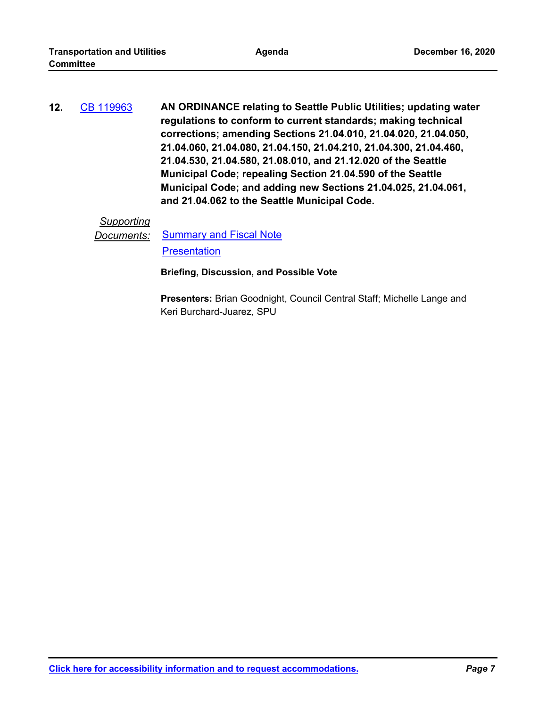**AN ORDINANCE relating to Seattle Public Utilities; updating water regulations to conform to current standards; making technical corrections; amending Sections 21.04.010, 21.04.020, 21.04.050, 21.04.060, 21.04.080, 21.04.150, 21.04.210, 21.04.300, 21.04.460, 21.04.530, 21.04.580, 21.08.010, and 21.12.020 of the Seattle Municipal Code; repealing Section 21.04.590 of the Seattle Municipal Code; and adding new Sections 21.04.025, 21.04.061, and 21.04.062 to the Seattle Municipal Code. 12.** [CB 119963](http://seattle.legistar.com/gateway.aspx?m=l&id=/matter.aspx?key=10963)

#### *Supporting*

**Documents:** [Summary and Fiscal Note](http://seattle.legistar.com/gateway.aspx?M=F&ID=f84b4da4-5bba-414b-aa21-39032ab91cdf.docx) **[Presentation](http://seattle.legistar.com/gateway.aspx?M=F&ID=29733f81-2d0b-4a60-92a6-ec28565c6b16.pdf)** 

**Briefing, Discussion, and Possible Vote**

**Presenters:** Brian Goodnight, Council Central Staff; Michelle Lange and Keri Burchard-Juarez, SPU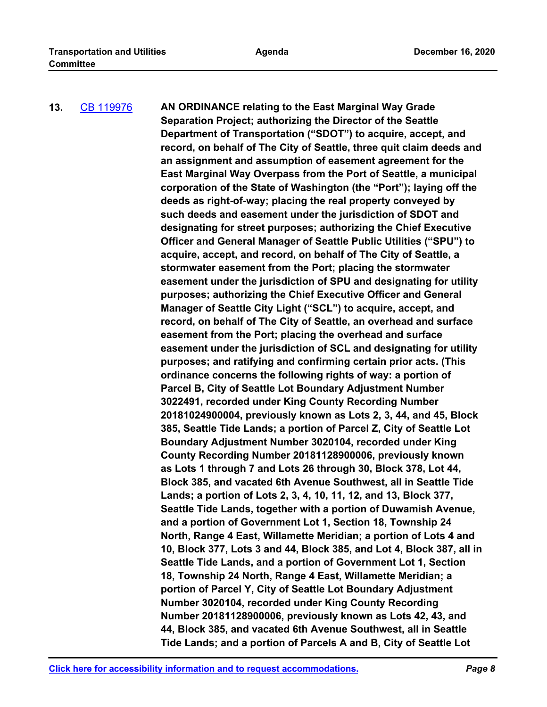#### **AN ORDINANCE relating to the East Marginal Way Grade Separation Project; authorizing the Director of the Seattle Department of Transportation ("SDOT") to acquire, accept, and record, on behalf of The City of Seattle, three quit claim deeds and an assignment and assumption of easement agreement for the East Marginal Way Overpass from the Port of Seattle, a municipal corporation of the State of Washington (the "Port"); laying off the deeds as right-of-way; placing the real property conveyed by such deeds and easement under the jurisdiction of SDOT and designating for street purposes; authorizing the Chief Executive Officer and General Manager of Seattle Public Utilities ("SPU") to acquire, accept, and record, on behalf of The City of Seattle, a stormwater easement from the Port; placing the stormwater easement under the jurisdiction of SPU and designating for utility purposes; authorizing the Chief Executive Officer and General Manager of Seattle City Light ("SCL") to acquire, accept, and record, on behalf of The City of Seattle, an overhead and surface easement from the Port; placing the overhead and surface easement under the jurisdiction of SCL and designating for utility purposes; and ratifying and confirming certain prior acts. (This ordinance concerns the following rights of way: a portion of Parcel B, City of Seattle Lot Boundary Adjustment Number 3022491, recorded under King County Recording Number 20181024900004, previously known as Lots 2, 3, 44, and 45, Block 385, Seattle Tide Lands; a portion of Parcel Z, City of Seattle Lot Boundary Adjustment Number 3020104, recorded under King County Recording Number 20181128900006, previously known as Lots 1 through 7 and Lots 26 through 30, Block 378, Lot 44, Block 385, and vacated 6th Avenue Southwest, all in Seattle Tide Lands; a portion of Lots 2, 3, 4, 10, 11, 12, and 13, Block 377, Seattle Tide Lands, together with a portion of Duwamish Avenue, and a portion of Government Lot 1, Section 18, Township 24 North, Range 4 East, Willamette Meridian; a portion of Lots 4 and 10, Block 377, Lots 3 and 44, Block 385, and Lot 4, Block 387, all in Seattle Tide Lands, and a portion of Government Lot 1, Section 18, Township 24 North, Range 4 East, Willamette Meridian; a portion of Parcel Y, City of Seattle Lot Boundary Adjustment Number 3020104, recorded under King County Recording Number 20181128900006, previously known as Lots 42, 43, and 44, Block 385, and vacated 6th Avenue Southwest, all in Seattle Tide Lands; and a portion of Parcels A and B, City of Seattle Lot 13.** [CB 119976](http://seattle.legistar.com/gateway.aspx?m=l&id=/matter.aspx?key=10601)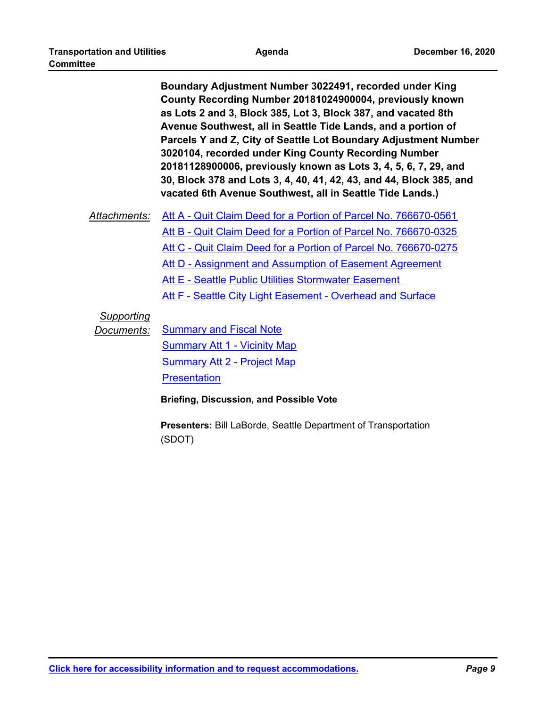**Boundary Adjustment Number 3022491, recorded under King County Recording Number 20181024900004, previously known as Lots 2 and 3, Block 385, Lot 3, Block 387, and vacated 8th Avenue Southwest, all in Seattle Tide Lands, and a portion of Parcels Y and Z, City of Seattle Lot Boundary Adjustment Number 3020104, recorded under King County Recording Number 20181128900006, previously known as Lots 3, 4, 5, 6, 7, 29, and 30, Block 378 and Lots 3, 4, 40, 41, 42, 43, and 44, Block 385, and vacated 6th Avenue Southwest, all in Seattle Tide Lands.)**

*Attachments:* [Att A - Quit Claim Deed for a Portion of Parcel No. 766670-0561](http://seattle.legistar.com/gateway.aspx?M=F&ID=e9ec3a9d-b3b8-4dab-8652-fc79ea1cbf9e.pdf) [Att B - Quit Claim Deed for a Portion of Parcel No. 766670-0325](http://seattle.legistar.com/gateway.aspx?M=F&ID=fb8bf559-2ef3-4388-bc3c-7bf7ac46cc74.pdf) [Att C - Quit Claim Deed for a Portion of Parcel No. 766670-0275](http://seattle.legistar.com/gateway.aspx?M=F&ID=b595eb4a-5686-4a94-bb20-8e498bf7dde9.pdf) [Att D - Assignment and Assumption of Easement Agreement](http://seattle.legistar.com/gateway.aspx?M=F&ID=377d3251-52d2-4a51-8fef-995c1b955473.pdf) [Att E - Seattle Public Utilities Stormwater Easement](http://seattle.legistar.com/gateway.aspx?M=F&ID=ee231f09-b264-43ad-9d89-176208820030.pdf) [Att F - Seattle City Light Easement - Overhead and Surface](http://seattle.legistar.com/gateway.aspx?M=F&ID=4c97ae47-67ca-409a-8b9d-2d4e072ce2bf.pdf)

#### *Supporting*

**Documents:** [Summary and Fiscal Note](http://seattle.legistar.com/gateway.aspx?M=F&ID=ca4b6e31-c32c-4b8a-9831-7c4639886e65.docx) [Summary Att 1 - Vicinity Map](http://seattle.legistar.com/gateway.aspx?M=F&ID=3bd7b75e-79ba-49c5-b7b5-e49e2021e36a.pdf) [Summary Att 2 - Project Map](http://seattle.legistar.com/gateway.aspx?M=F&ID=f8b78f0a-22a5-41b3-9a79-b0236e39c77c.pdf) **[Presentation](http://seattle.legistar.com/gateway.aspx?M=F&ID=c744a1a6-4113-4c47-a96f-af18930245f7.pdf)** 

**Briefing, Discussion, and Possible Vote**

**Presenters:** Bill LaBorde, Seattle Department of Transportation (SDOT)